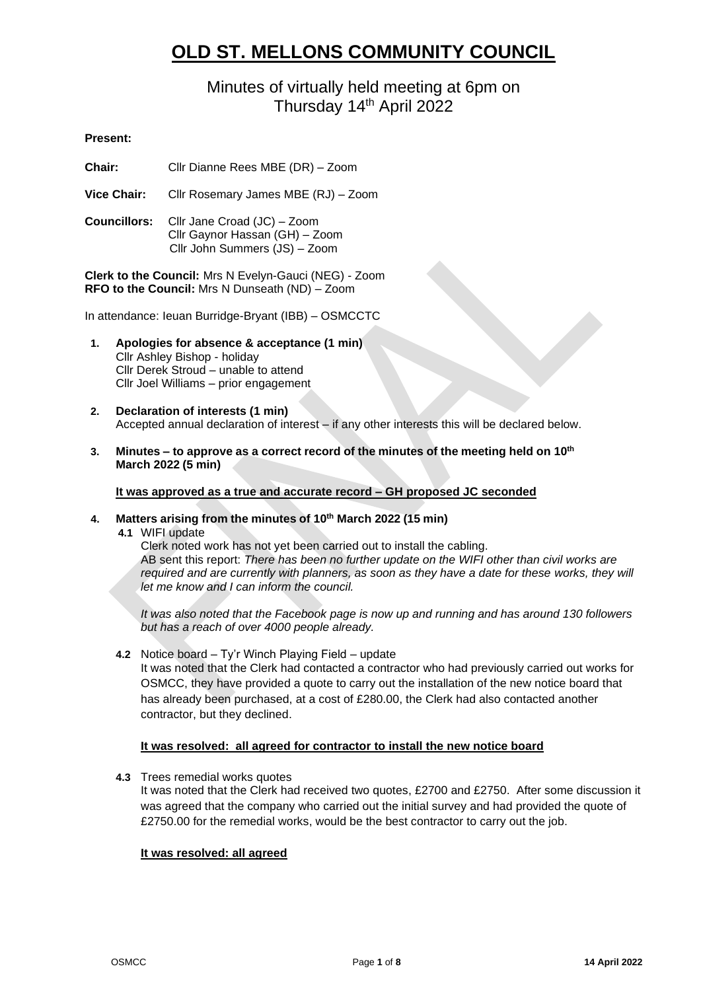# **OLD ST. MELLONS COMMUNITY COUNCIL**

# Minutes of virtually held meeting at 6pm on Thursday 14<sup>th</sup> April 2022

# **Present:**

**Chair:** Cllr Dianne Rees MBE (DR) – Zoom

**Vice Chair:** Cllr Rosemary James MBE (RJ) – Zoom

**Councillors:** Cllr Jane Croad (JC) – Zoom Cllr Gaynor Hassan (GH) – Zoom Cllr John Summers (JS) – Zoom

**Clerk to the Council:** Mrs N Evelyn-Gauci (NEG) - Zoom **RFO to the Council:** Mrs N Dunseath (ND) – Zoom

In attendance: Ieuan Burridge-Bryant (IBB) – OSMCCTC

- **1. Apologies for absence & acceptance (1 min)** Cllr Ashley Bishop - holiday Cllr Derek Stroud – unable to attend Cllr Joel Williams – prior engagement
- **2. Declaration of interests (1 min)** Accepted annual declaration of interest – if any other interests this will be declared below.
- **3. Minutes – to approve as a correct record of the minutes of the meeting held on 10th March 2022 (5 min)**

**It was approved as a true and accurate record – GH proposed JC seconded**

**4. Matters arising from the minutes of 10th March 2022 (15 min)**

**4.1** WIFI update

Clerk noted work has not yet been carried out to install the cabling. AB sent this report: *There has been no further update on the WIFI other than civil works are required and are currently with planners, as soon as they have a date for these works, they will let me know and I can inform the council.*

*It was also noted that the Facebook page is now up and running and has around 130 followers but has a reach of over 4000 people already.*

**4.2** Notice board – Ty'r Winch Playing Field – update

It was noted that the Clerk had contacted a contractor who had previously carried out works for OSMCC, they have provided a quote to carry out the installation of the new notice board that has already been purchased, at a cost of £280.00, the Clerk had also contacted another contractor, but they declined.

#### **It was resolved: all agreed for contractor to install the new notice board**

**4.3** Trees remedial works quotes

It was noted that the Clerk had received two quotes, £2700 and £2750. After some discussion it was agreed that the company who carried out the initial survey and had provided the quote of £2750.00 for the remedial works, would be the best contractor to carry out the job.

#### **It was resolved: all agreed**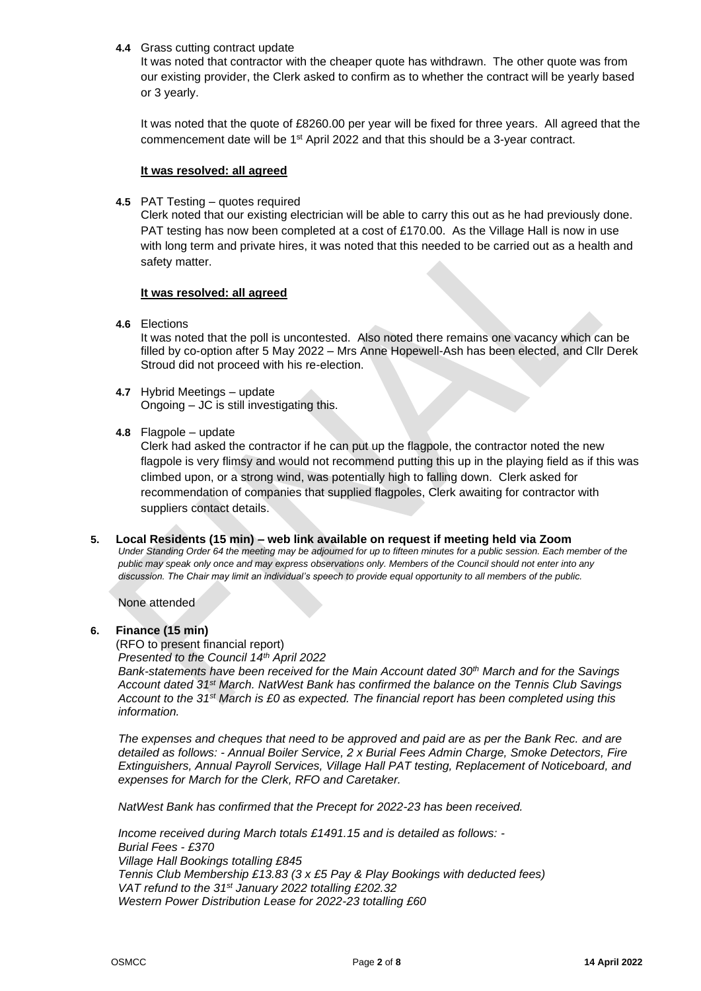# **4.4** Grass cutting contract update

It was noted that contractor with the cheaper quote has withdrawn. The other quote was from our existing provider, the Clerk asked to confirm as to whether the contract will be yearly based or 3 yearly.

It was noted that the quote of £8260.00 per year will be fixed for three years. All agreed that the commencement date will be 1st April 2022 and that this should be a 3-year contract.

#### **It was resolved: all agreed**

**4.5** PAT Testing – quotes required

Clerk noted that our existing electrician will be able to carry this out as he had previously done. PAT testing has now been completed at a cost of £170.00. As the Village Hall is now in use with long term and private hires, it was noted that this needed to be carried out as a health and safety matter.

# **It was resolved: all agreed**

**4.6** Elections

It was noted that the poll is uncontested. Also noted there remains one vacancy which can be filled by co-option after 5 May 2022 – Mrs Anne Hopewell-Ash has been elected, and Cllr Derek Stroud did not proceed with his re-election.

**4.7** Hybrid Meetings – update Ongoing – JC is still investigating this.

# **4.8** Flagpole – update

Clerk had asked the contractor if he can put up the flagpole, the contractor noted the new flagpole is very flimsy and would not recommend putting this up in the playing field as if this was climbed upon, or a strong wind, was potentially high to falling down. Clerk asked for recommendation of companies that supplied flagpoles, Clerk awaiting for contractor with suppliers contact details.

**5. Local Residents (15 min) – web link available on request if meeting held via Zoom** *Under Standing Order 64 the meeting may be adjourned for up to fifteen minutes for a public session. Each member of the public may speak only once and may express observations only. Members of the Council should not enter into any discussion. The Chair may limit an individual's speech to provide equal opportunity to all members of the public.*

None attended

#### **6. Finance (15 min)**

(RFO to present financial report)

*Presented to the Council 14th April 2022*

*Bank-statements have been received for the Main Account dated 30th March and for the Savings Account dated 31st March. NatWest Bank has confirmed the balance on the Tennis Club Savings Account to the 31st March is £0 as expected. The financial report has been completed using this information.* 

*The expenses and cheques that need to be approved and paid are as per the Bank Rec. and are detailed as follows: - Annual Boiler Service, 2 x Burial Fees Admin Charge, Smoke Detectors, Fire Extinguishers, Annual Payroll Services, Village Hall PAT testing, Replacement of Noticeboard, and expenses for March for the Clerk, RFO and Caretaker.*

*NatWest Bank has confirmed that the Precept for 2022-23 has been received.*

*Income received during March totals £1491.15 and is detailed as follows: - Burial Fees - £370 Village Hall Bookings totalling £845 Tennis Club Membership £13.83 (3 x £5 Pay & Play Bookings with deducted fees) VAT refund to the 31st January 2022 totalling £202.32 Western Power Distribution Lease for 2022-23 totalling £60*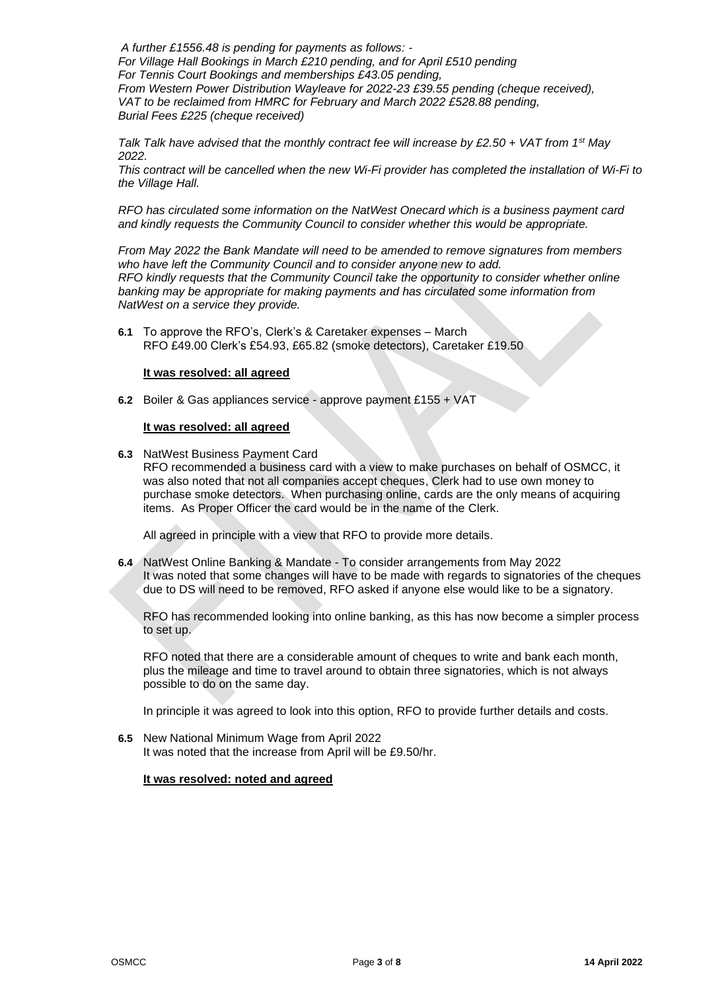*A further £1556.48 is pending for payments as follows: - For Village Hall Bookings in March £210 pending, and for April £510 pending For Tennis Court Bookings and memberships £43.05 pending, From Western Power Distribution Wayleave for 2022-23 £39.55 pending (cheque received), VAT to be reclaimed from HMRC for February and March 2022 £528.88 pending, Burial Fees £225 (cheque received)*

*Talk Talk have advised that the monthly contract fee will increase by £2.50 + VAT from 1st May 2022.*

*This contract will be cancelled when the new Wi-Fi provider has completed the installation of Wi-Fi to the Village Hall.*

*RFO has circulated some information on the NatWest Onecard which is a business payment card and kindly requests the Community Council to consider whether this would be appropriate.*

*From May 2022 the Bank Mandate will need to be amended to remove signatures from members who have left the Community Council and to consider anyone new to add. RFO kindly requests that the Community Council take the opportunity to consider whether online banking may be appropriate for making payments and has circulated some information from NatWest on a service they provide.*

**6.1** To approve the RFO's, Clerk's & Caretaker expenses – March RFO £49.00 Clerk's £54.93, £65.82 (smoke detectors), Caretaker £19.50

#### **It was resolved: all agreed**

**6.2** Boiler & Gas appliances service - approve payment £155 + VAT

#### **It was resolved: all agreed**

**6.3** NatWest Business Payment Card RFO recommended a business card with a view to make purchases on behalf of OSMCC, it was also noted that not all companies accept cheques, Clerk had to use own money to purchase smoke detectors. When purchasing online, cards are the only means of acquiring

items. As Proper Officer the card would be in the name of the Clerk.

All agreed in principle with a view that RFO to provide more details.

**6.4** NatWest Online Banking & Mandate - To consider arrangements from May 2022 It was noted that some changes will have to be made with regards to signatories of the cheques due to DS will need to be removed, RFO asked if anyone else would like to be a signatory.

RFO has recommended looking into online banking, as this has now become a simpler process to set up.

RFO noted that there are a considerable amount of cheques to write and bank each month, plus the mileage and time to travel around to obtain three signatories, which is not always possible to do on the same day.

In principle it was agreed to look into this option, RFO to provide further details and costs.

**6.5** New National Minimum Wage from April 2022 It was noted that the increase from April will be £9.50/hr.

#### **It was resolved: noted and agreed**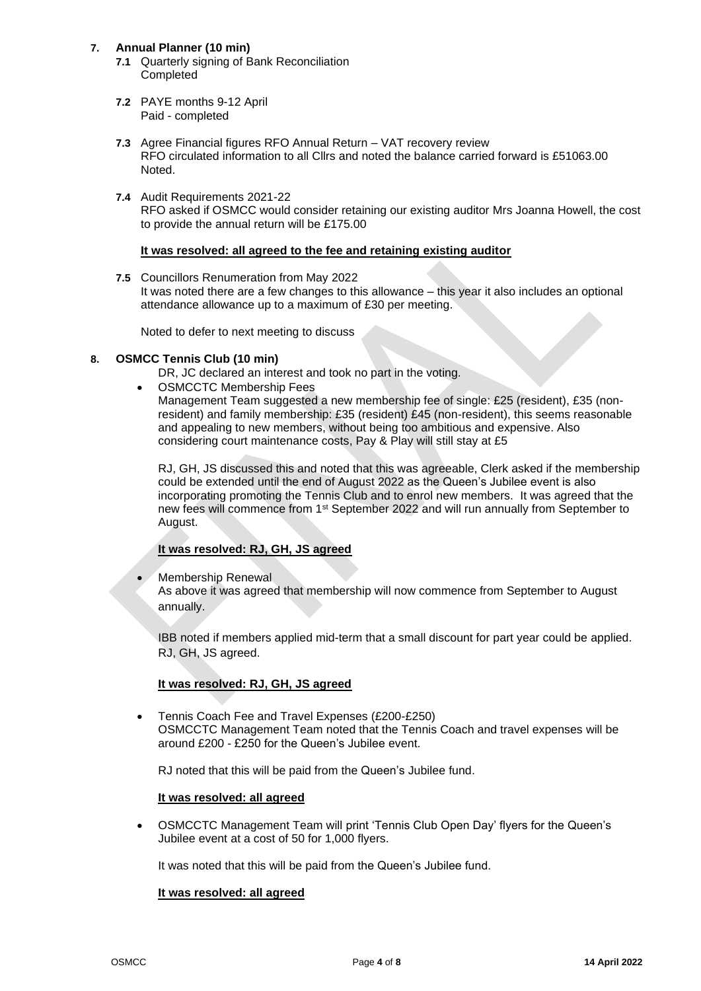# **7. Annual Planner (10 min)**

- **7.1** Quarterly signing of Bank Reconciliation **Completed**
- **7.2** PAYE months 9-12 April Paid - completed
- **7.3** Agree Financial figures RFO Annual Return VAT recovery review RFO circulated information to all Cllrs and noted the balance carried forward is £51063.00 Noted.
- **7.4** Audit Requirements 2021-22 RFO asked if OSMCC would consider retaining our existing auditor Mrs Joanna Howell, the cost to provide the annual return will be £175.00

# **It was resolved: all agreed to the fee and retaining existing auditor**

**7.5** Councillors Renumeration from May 2022 It was noted there are a few changes to this allowance – this year it also includes an optional attendance allowance up to a maximum of £30 per meeting.

Noted to defer to next meeting to discuss

# **8. OSMCC Tennis Club (10 min)**

DR, JC declared an interest and took no part in the voting.

• OSMCCTC Membership Fees

Management Team suggested a new membership fee of single: £25 (resident), £35 (nonresident) and family membership: £35 (resident) £45 (non-resident), this seems reasonable and appealing to new members, without being too ambitious and expensive. Also considering court maintenance costs, Pay & Play will still stay at £5

RJ, GH, JS discussed this and noted that this was agreeable, Clerk asked if the membership could be extended until the end of August 2022 as the Queen's Jubilee event is also incorporating promoting the Tennis Club and to enrol new members. It was agreed that the new fees will commence from 1st September 2022 and will run annually from September to August.

# **It was resolved: RJ, GH, JS agreed**

• Membership Renewal

As above it was agreed that membership will now commence from September to August annually.

IBB noted if members applied mid-term that a small discount for part year could be applied. RJ, GH, JS agreed.

#### **It was resolved: RJ, GH, JS agreed**

• Tennis Coach Fee and Travel Expenses (£200-£250) OSMCCTC Management Team noted that the Tennis Coach and travel expenses will be around £200 - £250 for the Queen's Jubilee event.

RJ noted that this will be paid from the Queen's Jubilee fund.

#### **It was resolved: all agreed**

• OSMCCTC Management Team will print 'Tennis Club Open Day' flyers for the Queen's Jubilee event at a cost of 50 for 1,000 flyers.

It was noted that this will be paid from the Queen's Jubilee fund.

#### **It was resolved: all agreed**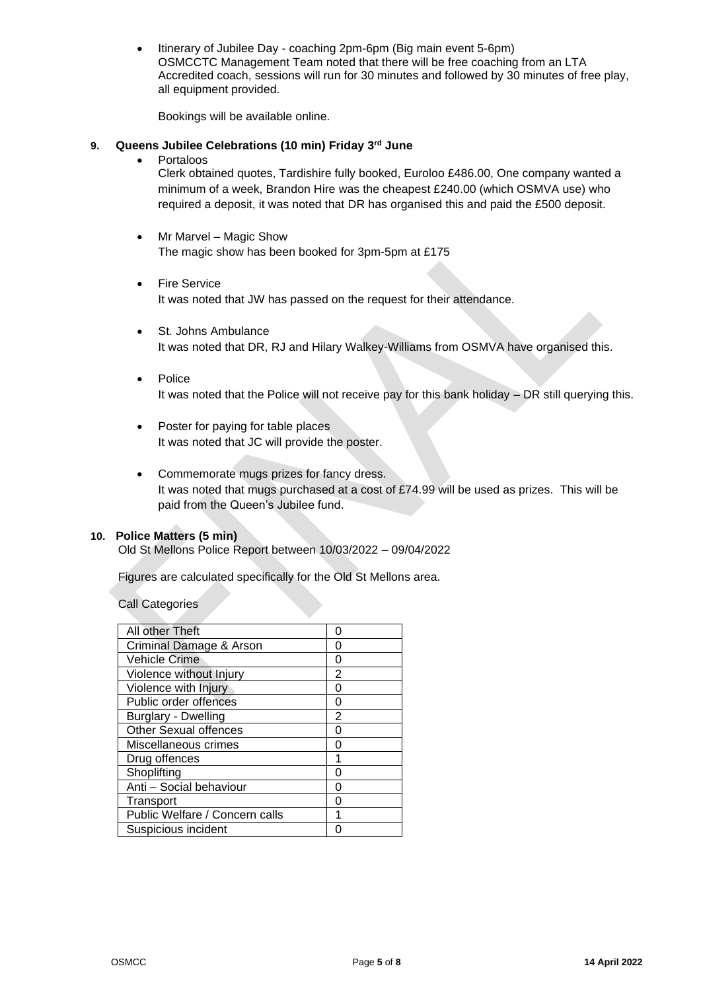• Itinerary of Jubilee Day - coaching 2pm-6pm (Big main event 5-6pm) OSMCCTC Management Team noted that there will be free coaching from an LTA Accredited coach, sessions will run for 30 minutes and followed by 30 minutes of free play, all equipment provided.

Bookings will be available online.

# **9. Queens Jubilee Celebrations (10 min) Friday 3rd June**

• Portaloos

Clerk obtained quotes, Tardishire fully booked, Euroloo £486.00, One company wanted a minimum of a week, Brandon Hire was the cheapest £240.00 (which OSMVA use) who required a deposit, it was noted that DR has organised this and paid the £500 deposit.

- Mr Marvel Magic Show The magic show has been booked for 3pm-5pm at £175
- **Fire Service** It was noted that JW has passed on the request for their attendance.
- St. Johns Ambulance It was noted that DR, RJ and Hilary Walkey-Williams from OSMVA have organised this.
- Police It was noted that the Police will not receive pay for this bank holiday – DR still querying this.
- Poster for paying for table places It was noted that JC will provide the poster.
- Commemorate mugs prizes for fancy dress. It was noted that mugs purchased at a cost of £74.99 will be used as prizes. This will be paid from the Queen's Jubilee fund.

# **10. Police Matters (5 min)**

Old St Mellons Police Report between 10/03/2022 – 09/04/2022

Figures are calculated specifically for the Old St Mellons area.

Call Categories

| All other Theft                | O              |
|--------------------------------|----------------|
| Criminal Damage & Arson        | Ω              |
| <b>Vehicle Crime</b>           | 0              |
| Violence without Injury        | $\overline{2}$ |
| Violence with Injury           | 0              |
| Public order offences          | 0              |
| <b>Burglary - Dwelling</b>     | 2              |
| <b>Other Sexual offences</b>   | 0              |
| Miscellaneous crimes           | 0              |
| Drug offences                  | 1              |
| Shoplifting                    | U              |
| Anti - Social behaviour        | 0              |
| Transport                      | U              |
| Public Welfare / Concern calls |                |
| Suspicious incident            |                |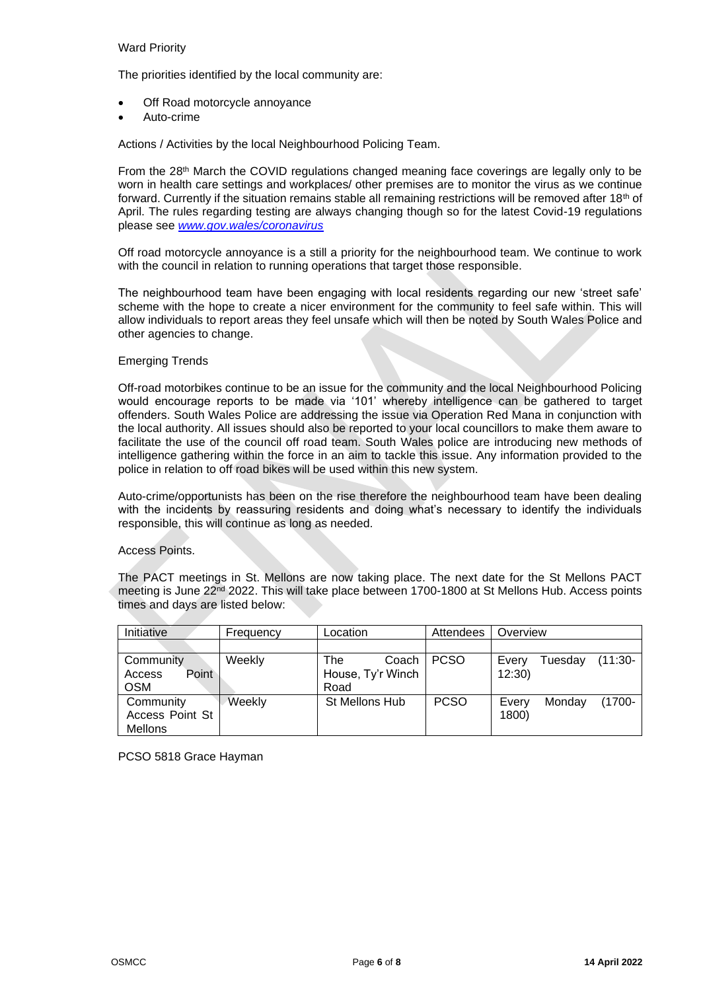# Ward Priority

The priorities identified by the local community are:

- Off Road motorcycle annoyance
- Auto-crime

Actions / Activities by the local Neighbourhood Policing Team.

From the 28<sup>th</sup> March the COVID regulations changed meaning face coverings are legally only to be worn in health care settings and workplaces/ other premises are to monitor the virus as we continue forward. Currently if the situation remains stable all remaining restrictions will be removed after 18th of April. The rules regarding testing are always changing though so for the latest Covid-19 regulations please see *[www.gov.wales/coronavirus](http://www.gov.wales/coronavirus)*

Off road motorcycle annoyance is a still a priority for the neighbourhood team. We continue to work with the council in relation to running operations that target those responsible.

The neighbourhood team have been engaging with local residents regarding our new 'street safe' scheme with the hope to create a nicer environment for the community to feel safe within. This will allow individuals to report areas they feel unsafe which will then be noted by South Wales Police and other agencies to change.

#### Emerging Trends

Off-road motorbikes continue to be an issue for the community and the local Neighbourhood Policing would encourage reports to be made via '101' whereby intelligence can be gathered to target offenders. South Wales Police are addressing the issue via Operation Red Mana in conjunction with the local authority. All issues should also be reported to your local councillors to make them aware to facilitate the use of the council off road team. South Wales police are introducing new methods of intelligence gathering within the force in an aim to tackle this issue. Any information provided to the police in relation to off road bikes will be used within this new system.

Auto-crime/opportunists has been on the rise therefore the neighbourhood team have been dealing with the incidents by reassuring residents and doing what's necessary to identify the individuals responsible, this will continue as long as needed.

#### Access Points.

The PACT meetings in St. Mellons are now taking place. The next date for the St Mellons PACT meeting is June 22<sup>nd</sup> 2022. This will take place between 1700-1800 at St Mellons Hub. Access points times and days are listed below:

| Initiative      | Frequency | Location          | Attendees   | Overview                       |
|-----------------|-----------|-------------------|-------------|--------------------------------|
|                 |           |                   |             |                                |
| Community       | Weekly    | The<br>Coach      | <b>PCSO</b> | $(11:30 -$<br>Tuesday<br>Every |
| Point<br>Access |           | House, Ty'r Winch |             | 12:30                          |
| <b>OSM</b>      |           | Road              |             |                                |
| Community       | Weekly    | St Mellons Hub    | <b>PCSO</b> | $(1700 -$<br>Monday<br>Every   |
| Access Point St |           |                   |             | 1800)                          |
| Mellons         |           |                   |             |                                |

PCSO 5818 Grace Hayman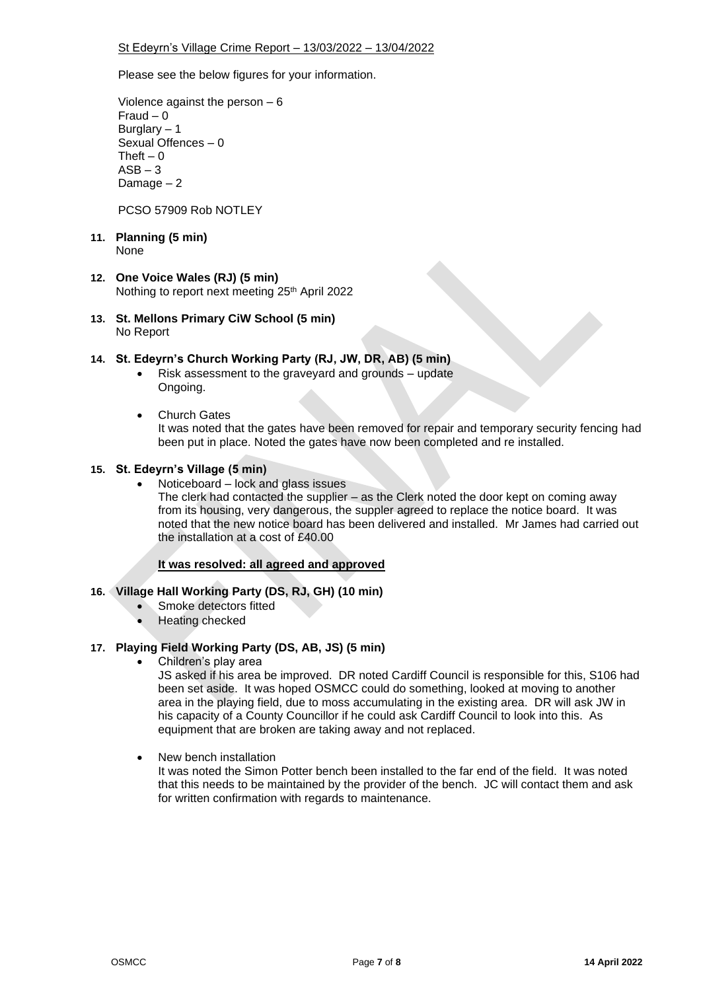Please see the below figures for your information.

Violence against the person – 6 Fraud – 0 Burglary – 1 Sexual Offences – 0 Theft  $-0$  $ASB - 3$ Damage – 2

PCSO 57909 Rob NOTLEY

#### **11. Planning (5 min)** None

# **12. One Voice Wales (RJ) (5 min)**

Nothing to report next meeting 25<sup>th</sup> April 2022

**13. St. Mellons Primary CiW School (5 min)** No Report

# **14. St. Edeyrn's Church Working Party (RJ, JW, DR, AB) (5 min)**

- Risk assessment to the graveyard and grounds update Ongoing.
- Church Gates

It was noted that the gates have been removed for repair and temporary security fencing had been put in place. Noted the gates have now been completed and re installed.

# **15. St. Edeyrn's Village (5 min)**

• Noticeboard – lock and glass issues

The clerk had contacted the supplier – as the Clerk noted the door kept on coming away from its housing, very dangerous, the suppler agreed to replace the notice board. It was noted that the new notice board has been delivered and installed. Mr James had carried out the installation at a cost of £40.00

# **It was resolved: all agreed and approved**

# **16. Village Hall Working Party (DS, RJ, GH) (10 min)**

- Smoke detectors fitted
- Heating checked

# **17. Playing Field Working Party (DS, AB, JS) (5 min)**

• Children's play area

JS asked if his area be improved. DR noted Cardiff Council is responsible for this, S106 had been set aside. It was hoped OSMCC could do something, looked at moving to another area in the playing field, due to moss accumulating in the existing area. DR will ask JW in his capacity of a County Councillor if he could ask Cardiff Council to look into this. As equipment that are broken are taking away and not replaced.

• New bench installation

It was noted the Simon Potter bench been installed to the far end of the field. It was noted that this needs to be maintained by the provider of the bench. JC will contact them and ask for written confirmation with regards to maintenance.